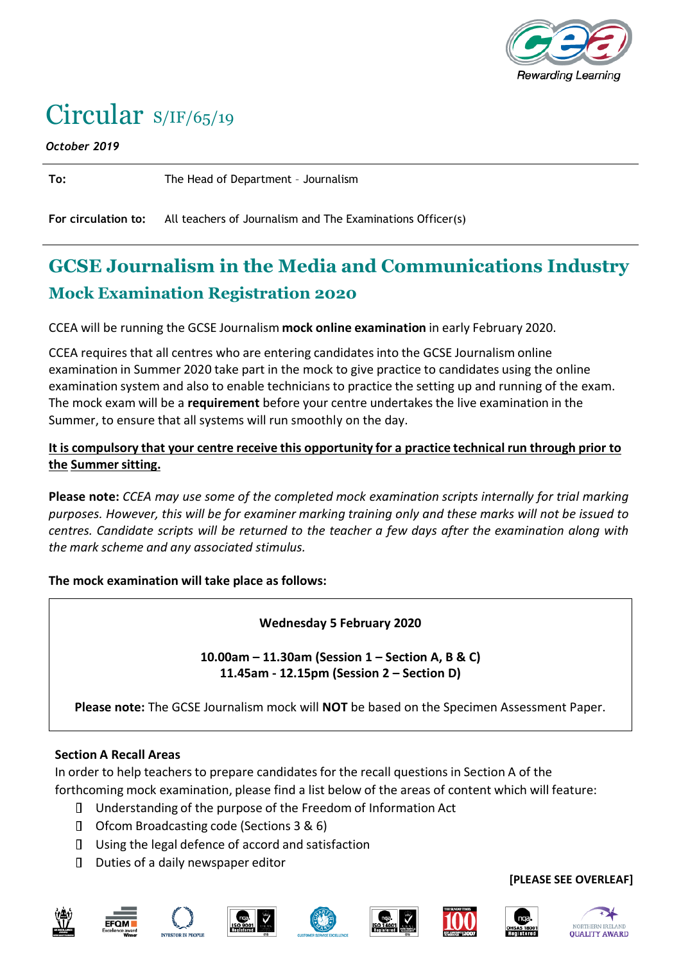

# Circular S/IF/65/19

*October 2019*

**To:** The Head of Department – Journalism

**For circulation to:** All teachers of Journalism and The Examinations Officer(s)

# **GCSE Journalism in the Media and Communications Industry Mock Examination Registration 2020**

CCEA will be running the GCSE Journalism **mock online examination** in early February 2020.

CCEA requires that all centres who are entering candidatesinto the GCSE Journalism online examination in Summer 2020 take part in the mock to give practice to candidates using the online examination system and also to enable technicians to practice the setting up and running of the exam. The mock exam will be a **requirement** before your centre undertakesthe live examination in the Summer, to ensure that all systems will run smoothly on the day.

#### **It is compulsory that your centre receive this opportunity for a practice technical run through prior to the Summersitting.**

**Please note:** *CCEA may use some of the completed mock examination scripts internally for trial marking purposes. However, this will be for examiner marking training only and these marks will not be issued to centres. Candidate scripts will be returned to the teacher a few days after the examination along with the mark scheme and any associated stimulus.*

**The mock examination will take place as follows:**

**Wednesday 5 February 2020**

**10.00am – 11.30am (Session 1 – Section A, B & C) 11.45am - 12.15pm (Session 2 – Section D)**

**Please note:** The GCSE Journalism mock will **NOT** be based on the Specimen Assessment Paper.

#### **Section A Recall Areas**

In order to help teachers to prepare candidates for the recall questions in Section A of the forthcoming mock examination, please find a list below of the areas of content which will feature:

- Understanding of the purpose of the Freedom of Information Act
- □ Ofcom Broadcasting code (Sections 3 & 6)
- $\Box$  Using the legal defence of accord and satisfaction
- Duties of a daily newspaper editor













#### **[PLEASE SEE OVERLEAF]**

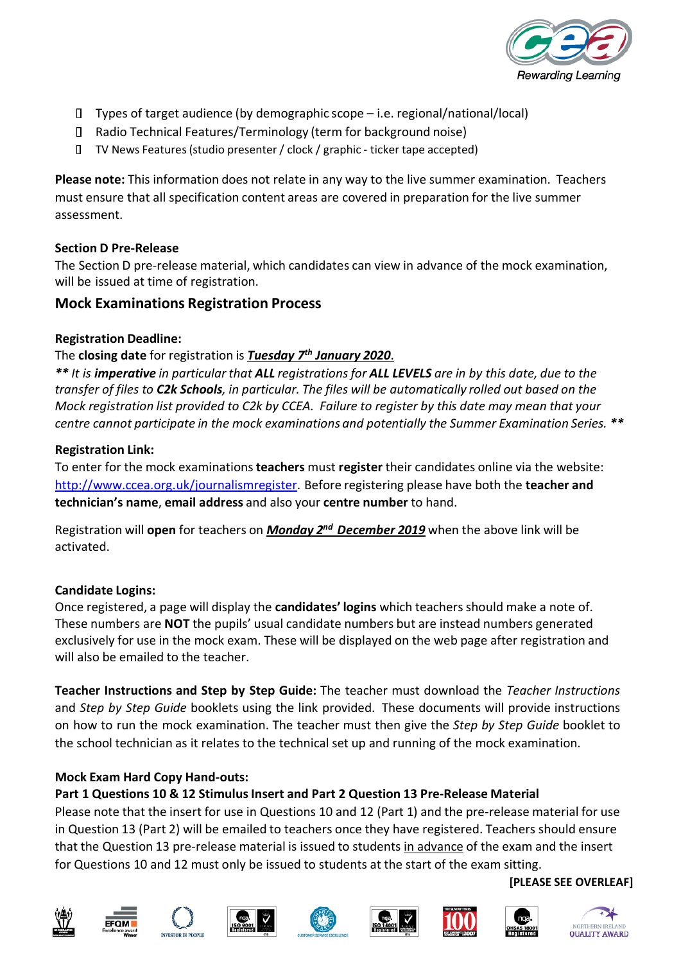

- $\Box$  Types of target audience (by demographic scope i.e. regional/national/local)
- Radio Technical Features/Terminology (term for background noise)
- TV News Features(studio presenter/ clock / graphic ‐ ticker tape accepted)

**Please note:** This information does not relate in any way to the live summer examination. Teachers must ensure that all specification content areas are covered in preparation for the live summer assessment.

#### **Section D Pre‐Release**

The Section D pre-release material, which candidates can view in advance of the mock examination, will be issued at time of registration.

# **Mock Examinations Registration Process**

#### **Registration Deadline:**

#### The **closing date** for registration is *Tuesday 7th January 2020*.

\*\* It is imperative in particular that ALL registrations for ALL LEVELS are in by this date, due to the transfer of files to C2k Schools, in particular. The files will be automatically rolled out based on the *Mock registration list provided to C2k by CCEA. Failure to register by this date may mean that your centre cannot participate in the mock examinations and potentially the Summer Examination Series. \*\**

#### **Registration Link:**

To enter for the mock examinations**teachers** must **register** their candidates online via the website: [http://www.ccea.org.uk/journalismregister.](http://www.ccea.org.uk/journalismregister) Before registering please have both the **teacher and technician's name**, **email address** and also your **centre number** to hand.

Registration will **open** for teachers on *Monday 2<sup>nd</sup> December 2019* when the above link will be activated.

# **Candidate Logins:**

Once registered, a page will display the **candidates' logins** which teachersshould make a note of. These numbers are **NOT** the pupils' usual candidate numbers but are instead numbers generated exclusively for use in the mock exam. These will be displayed on the web page after registration and will also be emailed to the teacher.

**Teacher Instructions and Step by Step Guide:** The teacher must download the *Teacher Instructions* and *Step by Step Guide* booklets using the link provided. These documents will provide instructions on how to run the mock examination. The teacher must then give the *Step by Step Guide* booklet to the school technician as it relates to the technical set up and running of the mock examination.

# **Mock Exam Hard Copy Hand‐outs:**

# **Part 1 Questions 10 & 12 StimulusInsert and Part 2 Question 13 Pre‐Release Material**

Please note that the insert for use in Questions 10 and 12 (Part 1) and the pre-release material for use in Question 13 (Part 2) will be emailed to teachers once they have registered. Teachers should ensure that the Question 13 pre‐release material is issued to students in advance of the exam and the insert for Questions 10 and 12 must only be issued to students at the start of the exam sitting.

















**[PLEASE SEE OVERLEAF]**